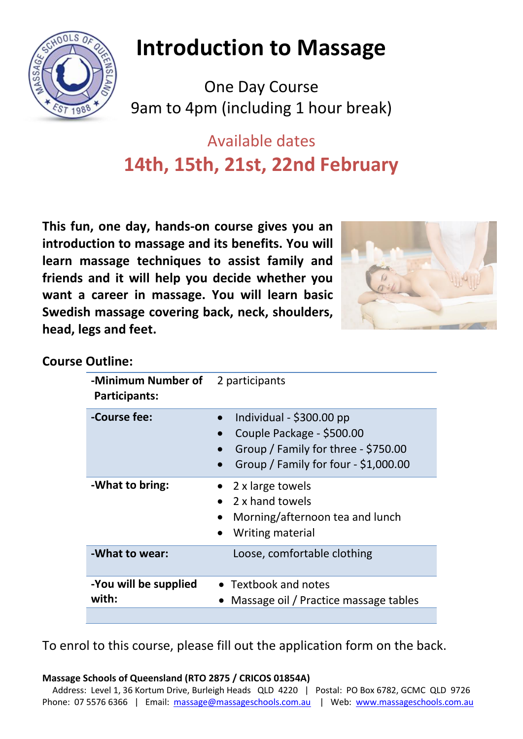

# **Introduction to Massage**

One Day Course 9am to 4pm (including 1 hour break)

## Available dates **14th, 15th, 21st, 22nd February**

**This fun, one day, hands-on course gives you an introduction to massage and its benefits. You will learn massage techniques to assist family and friends and it will help you decide whether you want a career in massage. You will learn basic Swedish massage covering back, neck, shoulders, head, legs and feet.**



#### **Course Outline:**

| -Minimum Number of<br><b>Participants:</b> | 2 participants                                                                                                                        |
|--------------------------------------------|---------------------------------------------------------------------------------------------------------------------------------------|
| -Course fee:                               | Individual - $$300.00$ pp<br>Couple Package - \$500.00<br>Group / Family for three - \$750.00<br>Group / Family for four - \$1,000.00 |
| -What to bring:                            | 2 x large towels<br>2 x hand towels<br>Morning/afternoon tea and lunch<br>Writing material                                            |
| -What to wear:                             | Loose, comfortable clothing                                                                                                           |
| -You will be supplied<br>with:             | • Textbook and notes<br>Massage oil / Practice massage tables                                                                         |

To enrol to this course, please fill out the application form on the back.

**Massage Schools of Queensland (RTO 2875 / CRICOS 01854A)**